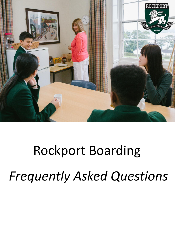

# Rockport Boarding *Frequently Asked Questions*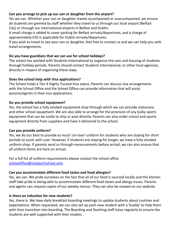# **Can you arrange to pick up our son or daughter from the airport?**

Yes we can. Whether your son or daughter travels accompanied or unaccompanied, we ensure all students are greeted by staff whether they travel to us through our local airport (Belfast City) or through our International airports in Belfast and Dublin.

A small charge is added to cover parking for Belfast arrivals/departures, and a charge of approximately £50 is applicable for Dublin arrivals/departures.

If you wish to travel to see your son or daughter, feel free to contact us and we can help you with travel arrangements.

# **Do you have guardians that we can use for school holidays?**

The school has worked with Students International to organise the care and housing of students through holiday periods. Parents should contact Students International, or other local agencies, directly in respect of organising these stays.

# **Does the school help with Visa applications?**

The School holds a Tier 4 Highly Trusted Visa status. Parents can discuss visa arrangements with the School Office and the School Office can provide information that will assist parents/agents in their visa applications.

# **Do you provide school equipment?**

Yes, the school has a fully stocked equipment shop through which we can provide stationary and other school equipment. We are also able to arrange for the provision of any bulky sports equipment that can be costly to ship or post directly. Parents can also order school and sports equipment directly from suppliers and have it delivered to the school.

# **Can you provide uniform?**

Yes, we do our best to provide as much 'on-loan' uniform for students who are staying for short periods to assist with cost. However, if students are staying for longer, we have a fully stocked uniform shop. If parents send us through measurements before arrival, we can also ensure that all uniform items are here on arrival.

For a full list of uniform requirements please contact the school office [schooloffice@rockportschool.com](mailto:schooloffice@rockportschool.com)

# **Can you accommodate different food tastes and food allergies?**

Yes, we can. We pride ourselves on the fact that all of our food is sourced locally and the kitchen staff take pride in being able to accommodate different food tastes and allergy issues. Parents and agents can request copies of our weekly menus. They can also be viewed on our website.

# **Is there an induction for new students?**

Yes, there is. We have daily breakfast boarding meetings to update students about routines and expectations. When requested, we can also set up each new student with a 'buddy' to help them with their transition into boarding. The Boarding and Teaching staff liaise regularly to ensure the students are well supported with their studies.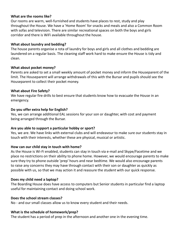# **What are the rooms like?**

Our rooms are warm, well-furnished and students have places to rest, study and play throughout the House. We have a 'Home Room' for snacks and meals and also a Common Room with sofas and television. There are similar recreational spaces on both the boys and girls corridor and there is WiFi available throughout the house.

# **What about laundry and bedding?**

The house parents organise a rota of laundry for boys and girls and all clothes and bedding are laundered on a regular basis. The cleaning staff work hard to make ensure the House is tidy and clean.

### **What about pocket money?**

Parents are asked to set a small weekly amount of pocket money and inform the Houseparent of the limit. The Houseparent will arrange withdrawals of this with the Bursar and pupils should see the Houseparent to collect their pocket money.

# **What about Fire Safety?**

We have regular fire drills to best ensure that students know how to evacuate the House in an emergency.

# **Do you offer extra help for English?**

Yes, we can arrange additional EAL sessions for your son or daughter, with cost and payment being arranged through the Bursar.

### **Are you able to support a particular hobby or sport?**

Yes, we are. We have links with external clubs and will endeavour to make sure our students stay in touch with their interests, whether these are physical, musical or artistic.

# **How can our child stay in touch with home?**

As the House is Wi-Fi enabled, students can stay in touch via e-mail and Skype/Facetime and we place no restrictions on their ability to phone home. However, we would encourage parents to make sure they try to phone outside 'prep' hours and near bedtime. We would also encourage parents to raise any concerns they may have through contact with their son or daughter as quickly as possible with us, so that we may action it and reassure the student with our quick response.

# **Does my child need a laptop?**

The Boarding House does have access to computers but Senior students in particular find a laptop useful for maintaining contact and doing school work.

### **Does the school stream classes?**

No - and our small classes allow us to know every student and their needs.

# **What is the schedule of homework/prep?**

The student has a period of prep in the afternoon and another one in the evening time.